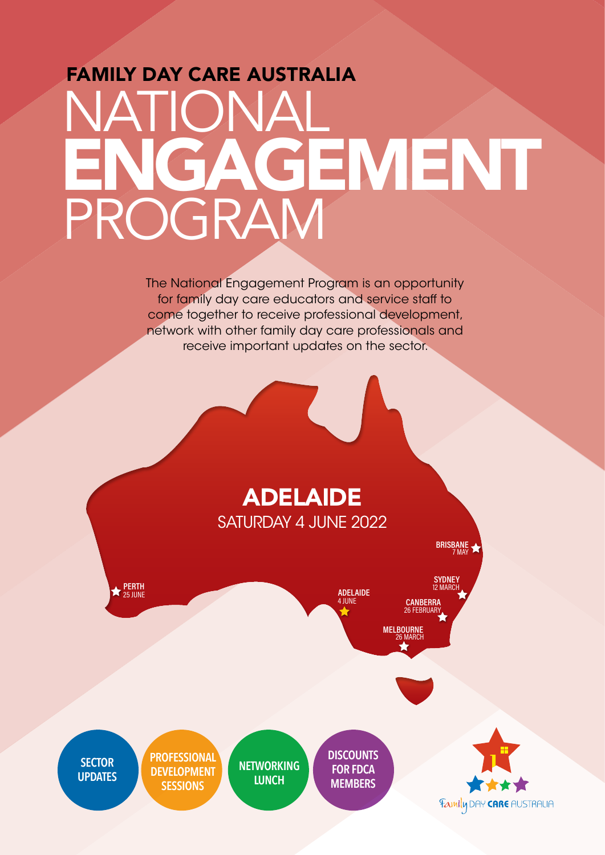## FAMILY DAY CARE AUSTRALIA NATIONAL PROGRAM ENGAGEMENT

The National Engagement Program is an opportunity for family day care educators and service staff to come together to receive professional development, network with other family day care professionals and receive important updates on the sector.

## ADELAIDE SATURDAY 4 JUNE 2022